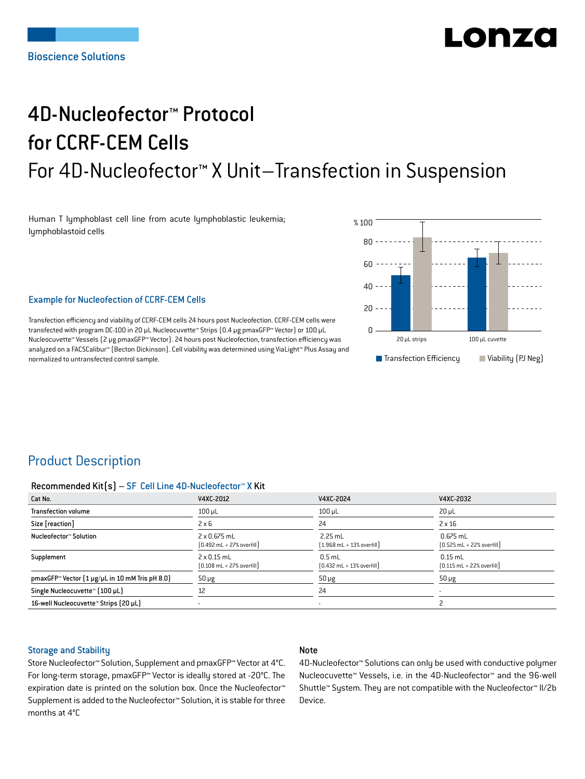# Lohra

## 4D-Nucleofector™ Protocol for CCRF-CEM Cells For 4D-Nucleofector™ X Unit–Transfection in Suspension

Human T lymphoblast cell line from acute lymphoblastic leukemia; lymphoblastoid cells



## Example for Nucleofection of CCRF-CEM Cells

Transfection efficiency and viability of CCRF-CEM cells 24 hours post Nucleofection. CCRF-CEM cells were transfected with program DC-100 in 20 μL Nucleocuvette™ Strips (0.4 μg pmaxGFP™ Vector) or 100 μL Nucleocuvette™ Vessels (2 μg pmaxGFP™ Vector). 24 hours post Nucleofection, transfection efficiency was analyzed on a FACSCalibur™ (Becton Dickinson). Cell viability was determined using ViaLight™ Plus Assay and normalized to untransfected control sample.

## Product Description

#### Recommended Kit(s) – SF Cell Line 4D-Nucleofector™ X Kit

| Cat No.                                                           | V4XC-2012                                                           | V4XC-2024                                                 | V4XC-2032                                                  |
|-------------------------------------------------------------------|---------------------------------------------------------------------|-----------------------------------------------------------|------------------------------------------------------------|
| <b>Transfection volume</b>                                        | $100 \mu L$                                                         | $100$ $\mu$ L                                             | $20 \mu L$                                                 |
| Size [reaction]                                                   | $2 \times 6$                                                        | 24                                                        | $2 \times 16$                                              |
| Nucleofector™ Solution                                            | $2 \times 0.675$ mL<br>$[0.492 \text{ mL} + 27\% \text{ overfill}]$ | $2.25$ mL<br>$[1.968 \text{ mL} + 13\% \text{ overfill}]$ | $0.675$ mL<br>$[0.525 \text{ mL} + 22\% \text{ overfill}]$ |
| Supplement                                                        | $2 \times 0.15$ mL<br>$[0.108 \text{ mL} + 27\% \text{ overfill}]$  | $0.5$ mL<br>$[0.432 \text{ mL} + 13\% \text{ overfill}]$  | $0.15$ mL<br>$[0.115 \text{ mL} + 22\% \text{ overfill}]$  |
| pmaxGFP <sup>*</sup> Vector $[1 \mu g/\mu L$ in 10 mM Tris pH 8.0 | $50 \mu g$                                                          | $50 \mu g$                                                | $50 \mu g$                                                 |
| Single Nucleocuvette™ [100 µL]                                    | 12                                                                  | 24                                                        | $\overline{\phantom{a}}$                                   |
| 16-well Nucleocuvette™ Strips (20 µL)                             |                                                                     | $\overline{\phantom{a}}$                                  |                                                            |

## Storage and Stability

## Note

Store Nucleofector™ Solution, Supplement and pmaxGFP™ Vector at 4°C. For long-term storage, pmaxGFP™ Vector is ideally stored at -20°C. The expiration date is printed on the solution box. Once the Nucleofector™ Supplement is added to the Nucleofector™ Solution, it is stable for three months at 4°C

4D-Nucleofector™ Solutions can only be used with conductive polymer Nucleocuvette™ Vessels, i.e. in the 4D-Nucleofector™ and the 96-well Shuttle™ System. They are not compatible with the Nucleofector™ II/2b Device.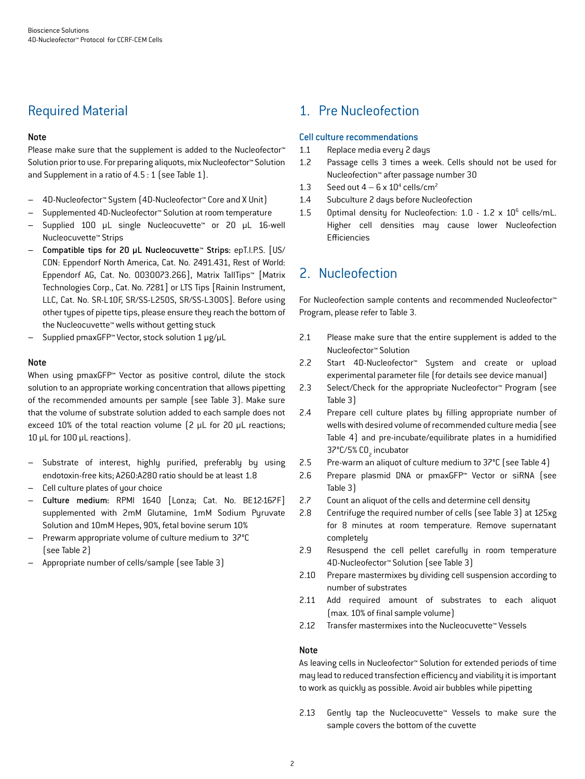## Required Material

## Note

Please make sure that the supplement is added to the Nucleofector<sup>™</sup> Solution prior to use. For preparing aliquots, mix Nucleofector™ Solution and Supplement in a ratio of 4.5 : 1 (see Table 1).

- 4D-Nucleofector™ System (4D-Nucleofector™ Core and X Unit)
- Supplemented 4D-Nucleofector™ Solution at room temperature
- Supplied 100 µL single Nucleocuvette™ or 20 µL 16-well Nucleocuvette™ Strips
- Compatible tips for 20 µL Nucleocuvette™ Strips: epT.I.P.S. [US/ CDN: Eppendorf North America, Cat. No. 2491.431, Rest of World: Eppendorf AG, Cat. No. 0030073.266], Matrix TallTips™ [Matrix Technologies Corp., Cat. No. 7281] or LTS Tips [Rainin Instrument, LLC, Cat. No. SR-L10F, SR/SS-L250S, SR/SS-L300S]. Before using other types of pipette tips, please ensure they reach the bottom of the Nucleocuvette™ wells without getting stuck
- Supplied pmaxGFP™ Vector, stock solution 1 μg/μL

## Note

When using pmaxGFP™ Vector as positive control, dilute the stock solution to an appropriate working concentration that allows pipetting of the recommended amounts per sample (see Table 3). Make sure that the volume of substrate solution added to each sample does not exceed 10% of the total reaction volume (2 μL for 20 μL reactions; 10 μL for 100 μL reactions).

- Substrate of interest, highly purified, preferably by using endotoxin-free kits; A260:A280 ratio should be at least 1.8
- Cell culture plates of your choice
- Culture medium: RPMI 1640 [Lonza; Cat. No. BE12-167F] supplemented with 2mM Glutamine, 1mM Sodium Pyruvate Solution and 10mM Hepes, 90%, fetal bovine serum 10%
- Prewarm appropriate volume of culture medium to 37°C (see Table 2)
- Appropriate number of cells/sample (see Table 3)

## 1. Pre Nucleofection

## Cell culture recommendations

- 1.1 Replace media every 2 days
- 1.2 Passage cells 3 times a week. Cells should not be used for Nucleofection™ after passage number 30
- 1.3 Seed out  $4-6 \times 10^4$  cells/cm<sup>2</sup>
- 1.4 Subculture 2 days before Nucleofection
- 1.5 Optimal density for Nucleofection: 1.0 1.2 x 10<sup>6</sup> cells/mL. Higher cell densities may cause lower Nucleofection Efficiencies

## 2. Nucleofection

For Nucleofection sample contents and recommended Nucleofector™ Program, please refer to Table 3.

- 2.1 Please make sure that the entire supplement is added to the Nucleofector™ Solution
- 2.2 Start 4D-Nucleofector™ System and create or upload experimental parameter file (for details see device manual)
- 2.3 Select/Check for the appropriate Nucleofector™ Program (see Table 3)
- 2.4 Prepare cell culture plates by filling appropriate number of wells with desired volume of recommended culture media (see Table 4) and pre-incubate/equilibrate plates in a humidified 37°C/5% CO<sub>2</sub> incubator
- 2.5 Pre-warm an aliquot of culture medium to 37°C (see Table 4)
- 2.6 Prepare plasmid DNA or pmaxGFP™ Vector or siRNA (see Table 3)
- 2.7 Count an aliquot of the cells and determine cell density
- 2.8 Centrifuge the required number of cells (see Table 3) at 125xg for 8 minutes at room temperature. Remove supernatant completely
- 2.9 Resuspend the cell pellet carefully in room temperature 4D-Nucleofector™ Solution (see Table 3)
- 2.10 Prepare mastermixes by dividing cell suspension according to number of substrates
- 2.11 Add required amount of substrates to each aliquot (max. 10% of final sample volume)
- 2.12 Transfer mastermixes into the Nucleocuvette™ Vessels

#### Note

As leaving cells in Nucleofector™ Solution for extended periods of time may lead to reduced transfection efficiency and viability it is important to work as quickly as possible. Avoid air bubbles while pipetting

2.13 Gently tap the Nucleocuvette™ Vessels to make sure the sample covers the bottom of the cuvette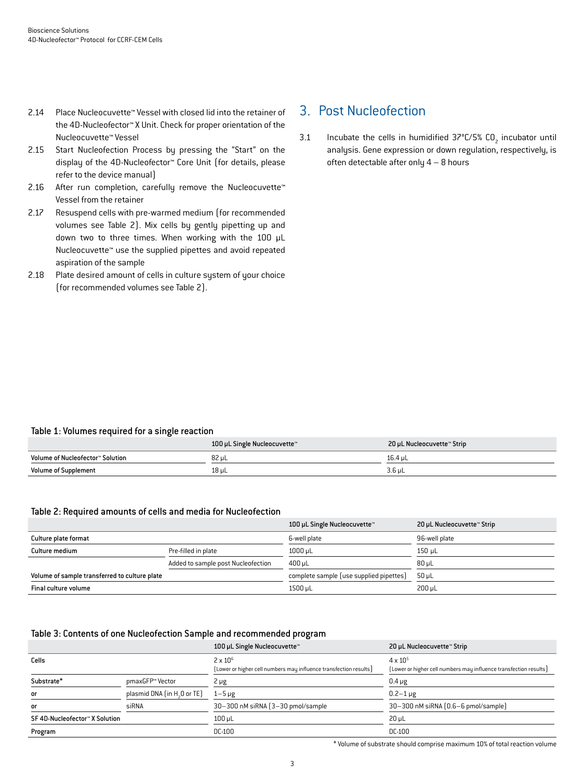- 2.14 Place Nucleocuvette™ Vessel with closed lid into the retainer of the 4D-Nucleofector™ X Unit. Check for proper orientation of the Nucleocuvette™ Vessel
- 2.15 Start Nucleofection Process by pressing the "Start" on the display of the 4D-Nucleofector™ Core Unit (for details, please refer to the device manual)
- 2.16 After run completion, carefully remove the Nucleocuvette<sup>™</sup> Vessel from the retainer
- 2.17 Resuspend cells with pre-warmed medium (for recommended volumes see Table 2). Mix cells by gently pipetting up and down two to three times. When working with the 100 µL Nucleocuvette™ use the supplied pipettes and avoid repeated aspiration of the sample
- 2.18 Plate desired amount of cells in culture system of your choice (for recommended volumes see Table 2).

## 3. Post Nucleofection

3.1 Incubate the cells in humidified  $37^{\circ}$ C/5% CO<sub>2</sub> incubator until analysis. Gene expression or down regulation, respectively, is often detectable after only 4 – 8 hours

## Table 1: Volumes required for a single reaction

|                                  | 100 µL Single Nucleocuvette™ | 20 µL Nucleocuvette™ Strip |
|----------------------------------|------------------------------|----------------------------|
| Volume of Nucleofector™ Solution | 82 µL                        | 16.4 uL                    |
| <b>Volume of Supplement</b>      | 18 µL                        | 3.6 µL                     |

#### Table 2: Required amounts of cells and media for Nucleofection

|                                               |                                    | 100 µL Single Nucleocuvette™            | 20 µL Nucleocuvette™ Strip |
|-----------------------------------------------|------------------------------------|-----------------------------------------|----------------------------|
| Culture plate format                          |                                    | 6-well plate                            | 96-well plate              |
| Culture medium                                | Pre-filled in plate                | $1000$ µL                               | 150 uL                     |
|                                               | Added to sample post Nucleofection | 400 uL                                  | $80 \mu L$                 |
| Volume of sample transferred to culture plate |                                    | complete sample (use supplied pipettes) | 50 uL                      |
| Final culture volume                          |                                    | 1500 µL                                 | $200 \mu L$                |

#### Table 3: Contents of one Nucleofection Sample and recommended program

|                                |                                         | 100 µL Single Nucleocuvette™                                                         | 20 µL Nucleocuvette™ Strip                                                             |
|--------------------------------|-----------------------------------------|--------------------------------------------------------------------------------------|----------------------------------------------------------------------------------------|
| Cells                          |                                         | $2 \times 10^6$<br>[Lower or higher cell numbers may influence transfection results] | $4 \times 10^{5}$<br>[Lower or higher cell numbers may influence transfection results] |
| Substrate*                     | pmaxGFP™ Vector                         | $2 \mu g$                                                                            | $0.4 \mu g$                                                                            |
| or                             | plasmid DNA (in H <sub>2</sub> 0 or TE) | $1-5 \mu g$                                                                          | $0.2 - 1 \,\mu$ g                                                                      |
| or                             | siRNA                                   | 30-300 nM siRNA (3-30 pmol/sample                                                    | 30-300 nM siRNA (0.6-6 pmol/sample)                                                    |
| SF 4D-Nucleofector™ X Solution |                                         | $100$ $\mu$ L                                                                        | $20 \mu L$                                                                             |
| Program                        |                                         | DC-100                                                                               | DC-100                                                                                 |

\* Volume of substrate should comprise maximum 10% of total reaction volume